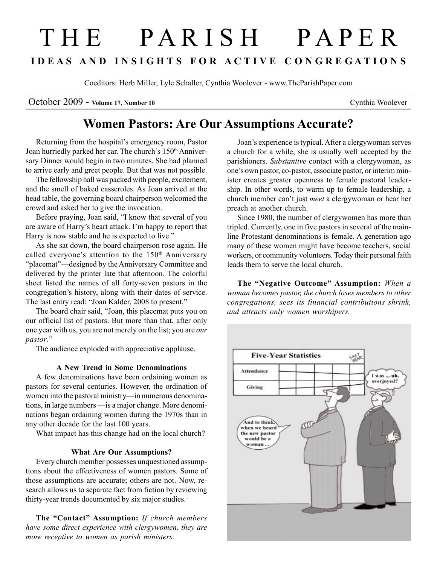# T H E P A R I S H P A P E R I D E A S A N D I N S I G H T S F O R A C T I V E C O N G R E G A T I O N S

Coeditors: Herb Miller, Lyle Schaller, Cynthia Woolever - www.TheParishPaper.com

October 2009 - Volume 17, Number 10 Cynthia Woolever

## Women Pastors: Are Our Assumptions Accurate?

Returning from the hospital's emergency room, Pastor Joan hurriedly parked her car. The church's 150th Anniversary Dinner would begin in two minutes. She had planned to arrive early and greet people. But that was not possible.

The fellowship hall was packed with people, excitement, and the smell of baked casseroles. As Joan arrived at the head table, the governing board chairperson welcomed the crowd and asked her to give the invocation.

Before praying, Joan said, "I know that several of you are aware of Harry's heart attack. I'm happy to report that Harry is now stable and he is expected to live."

As she sat down, the board chairperson rose again. He called everyone's attention to the  $150<sup>th</sup>$  Anniversary "placemat"—designed by the Anniversary Committee and delivered by the printer late that afternoon. The colorful sheet listed the names of all forty-seven pastors in the congregation's history, along with their dates of service. The last entry read: "Joan Kalder, 2008 to present."

The board chair said, "Joan, this placemat puts you on our official list of pastors. But more than that, after only one year with us, you are not merely on the list; you are our pastor."

The audience exploded with appreciative applause.

### A New Trend in Some Denominations

A few denominations have been ordaining women as pastors for several centuries. However, the ordination of women into the pastoral ministry—in numerous denominations, in large numbers —is a major change. More denominations began ordaining women during the 1970s than in any other decade for the last 100 years.

What impact has this change had on the local church?

### What Are Our Assumptions?

Every church member possesses unquestioned assumptions about the effectiveness of women pastors. Some of those assumptions are accurate; others are not. Now, research allows us to separate fact from fiction by reviewing thirty-year trends documented by six major studies.<sup>1</sup>

The "Contact" Assumption: If church members have some direct experience with clergywomen, they are more receptive to women as parish ministers.

Joan's experience is typical. After a clergywoman serves a church for a while, she is usually well accepted by the parishioners. Substantive contact with a clergywoman, as one's own pastor, co-pastor, associate pastor, or interim minister creates greater openness to female pastoral leadership. In other words, to warm up to female leadership, a church member can't just meet a clergywoman or hear her preach at another church.

Since 1980, the number of clergywomen has more than tripled. Currently, one in five pastors in several of the mainline Protestant denominations is female. A generation ago many of these women might have become teachers, social workers, or community volunteers. Today their personal faith leads them to serve the local church.

The "Negative Outcome" Assumption: When a woman becomes pastor, the church loses members to other congregations, sees its financial contributions shrink, and attracts only women worshipers.